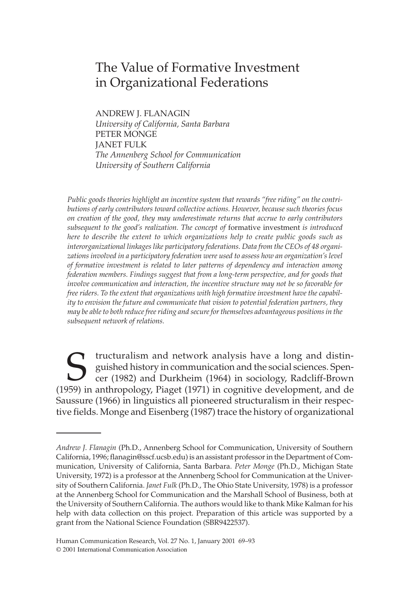# The Value of Formative Investment in Organizational Federations

ANDREW J. FLANAGIN *University of California, Santa Barbara* PETER MONGE JANET FULK *The Annenberg School for Communication University of Southern California*

*Public goods theories highlight an incentive system that rewards "free riding" on the contributions of early contributors toward collective actions. However, because such theories focus on creation of the good, they may underestimate returns that accrue to early contributors subsequent to the good's realization. The concept of* formative investment *is introduced here to describe the extent to which organizations help to create public goods such as interorganizational linkages like participatory federations. Data from the CEOs of 48 organizations involved in a participatory federation were used to assess how an organization's level of formative investment is related to later patterns of dependency and interaction among federation members. Findings suggest that from a long-term perspective, and for goods that involve communication and interaction, the incentive structure may not be so favorable for free riders. To the extent that organizations with high formative investment have the capability to envision the future and communicate that vision to potential federation partners, they may be able to both reduce free riding and secure for themselves advantageous positions in the subsequent network of relations.*

tructuralism and network analysis have a long and distinguished history in communication and the social sciences. Spenfuncturalism and network analysis have a long and distinguished history in communication and the social sciences. Spencer (1982) and Durkheim (1964) in sociology, Radcliff-Brown and help of the social sciences and help of (1959) in anthropology, Piaget (1971) in cognitive development, and de Saussure (1966) in linguistics all pioneered structuralism in their respective fields. Monge and Eisenberg (1987) trace the history of organizational

*Andrew J. Flanagin* (Ph.D., Annenberg School for Communication, University of Southern California, 1996; flanagin@sscf.ucsb.edu) is an assistant professor in the Department of Communication, University of California, Santa Barbara. *Peter Monge* (Ph.D., Michigan State University, 1972) is a professor at the Annenberg School for Communication at the University of Southern California. *Janet Fulk* (Ph.D., The Ohio State University, 1978) is a professor at the Annenberg School for Communication and the Marshall School of Business, both at the University of Southern California. The authors would like to thank Mike Kalman for his help with data collection on this project. Preparation of this article was supported by a grant from the National Science Foundation (SBR9422537).

Human Communication Research, Vol. 27 No. 1, January 2001 69–93 © 2001 International Communication Association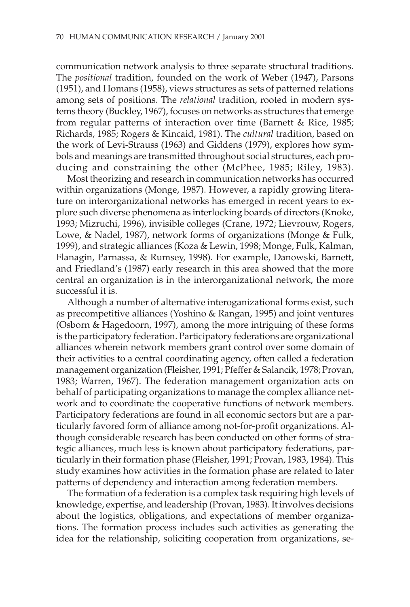communication network analysis to three separate structural traditions. The *positional* tradition, founded on the work of Weber (1947), Parsons (1951), and Homans (1958), views structures as sets of patterned relations among sets of positions. The *relational* tradition, rooted in modern systems theory (Buckley, 1967), focuses on networks as structures that emerge from regular patterns of interaction over time (Barnett & Rice, 1985; Richards, 1985; Rogers & Kincaid, 1981). The *cultural* tradition, based on the work of Levi-Strauss (1963) and Giddens (1979), explores how symbols and meanings are transmitted throughout social structures, each producing and constraining the other (McPhee, 1985; Riley, 1983).

Most theorizing and research in communication networks has occurred within organizations (Monge, 1987). However, a rapidly growing literature on interorganizational networks has emerged in recent years to explore such diverse phenomena as interlocking boards of directors (Knoke, 1993; Mizruchi, 1996), invisible colleges (Crane, 1972; Lievrouw, Rogers, Lowe, & Nadel, 1987), network forms of organizations (Monge & Fulk, 1999), and strategic alliances (Koza & Lewin, 1998; Monge, Fulk, Kalman, Flanagin, Parnassa, & Rumsey, 1998). For example, Danowski, Barnett, and Friedland's (1987) early research in this area showed that the more central an organization is in the interorganizational network, the more successful it is.

Although a number of alternative interoganizational forms exist, such as precompetitive alliances (Yoshino & Rangan, 1995) and joint ventures (Osborn & Hagedoorn, 1997), among the more intriguing of these forms is the participatory federation. Participatory federations are organizational alliances wherein network members grant control over some domain of their activities to a central coordinating agency, often called a federation management organization (Fleisher, 1991; Pfeffer & Salancik, 1978; Provan, 1983; Warren, 1967). The federation management organization acts on behalf of participating organizations to manage the complex alliance network and to coordinate the cooperative functions of network members. Participatory federations are found in all economic sectors but are a particularly favored form of alliance among not-for-profit organizations. Although considerable research has been conducted on other forms of strategic alliances, much less is known about participatory federations, particularly in their formation phase (Fleisher, 1991; Provan, 1983, 1984). This study examines how activities in the formation phase are related to later patterns of dependency and interaction among federation members.

The formation of a federation is a complex task requiring high levels of knowledge, expertise, and leadership (Provan, 1983). It involves decisions about the logistics, obligations, and expectations of member organizations. The formation process includes such activities as generating the idea for the relationship, soliciting cooperation from organizations, se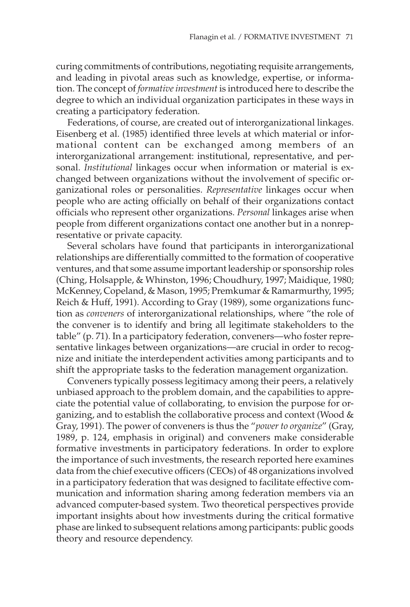curing commitments of contributions, negotiating requisite arrangements, and leading in pivotal areas such as knowledge, expertise, or information. The concept of *formative investment* is introduced here to describe the degree to which an individual organization participates in these ways in creating a participatory federation.

Federations, of course, are created out of interorganizational linkages. Eisenberg et al. (1985) identified three levels at which material or informational content can be exchanged among members of an interorganizational arrangement: institutional, representative, and personal. *Institutional* linkages occur when information or material is exchanged between organizations without the involvement of specific organizational roles or personalities. *Representative* linkages occur when people who are acting officially on behalf of their organizations contact officials who represent other organizations. *Personal* linkages arise when people from different organizations contact one another but in a nonrepresentative or private capacity.

Several scholars have found that participants in interorganizational relationships are differentially committed to the formation of cooperative ventures, and that some assume important leadership or sponsorship roles (Ching, Holsapple, & Whinston, 1996; Choudhury, 1997; Maidique, 1980; McKenney, Copeland, & Mason, 1995; Premkumar & Ramarmurthy, 1995; Reich & Huff, 1991). According to Gray (1989), some organizations function as *conveners* of interorganizational relationships, where "the role of the convener is to identify and bring all legitimate stakeholders to the table" (p. 71). In a participatory federation, conveners—who foster representative linkages between organizations—are crucial in order to recognize and initiate the interdependent activities among participants and to shift the appropriate tasks to the federation management organization.

Conveners typically possess legitimacy among their peers, a relatively unbiased approach to the problem domain, and the capabilities to appreciate the potential value of collaborating, to envision the purpose for organizing, and to establish the collaborative process and context (Wood & Gray, 1991). The power of conveners is thus the "*power to organize*" (Gray, 1989, p. 124, emphasis in original) and conveners make considerable formative investments in participatory federations. In order to explore the importance of such investments, the research reported here examines data from the chief executive officers (CEOs) of 48 organizations involved in a participatory federation that was designed to facilitate effective communication and information sharing among federation members via an advanced computer-based system. Two theoretical perspectives provide important insights about how investments during the critical formative phase are linked to subsequent relations among participants: public goods theory and resource dependency.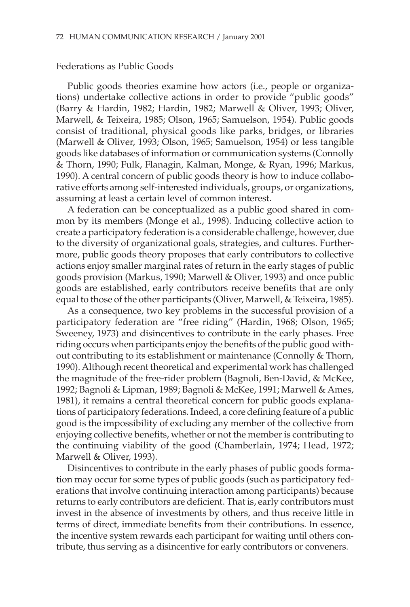#### Federations as Public Goods

Public goods theories examine how actors (i.e., people or organizations) undertake collective actions in order to provide "public goods" (Barry & Hardin, 1982; Hardin, 1982; Marwell & Oliver, 1993; Oliver, Marwell, & Teixeira, 1985; Olson, 1965; Samuelson, 1954). Public goods consist of traditional, physical goods like parks, bridges, or libraries (Marwell & Oliver, 1993; Olson, 1965; Samuelson, 1954) or less tangible goods like databases of information or communication systems (Connolly & Thorn, 1990; Fulk, Flanagin, Kalman, Monge, & Ryan, 1996; Markus, 1990). A central concern of public goods theory is how to induce collaborative efforts among self-interested individuals, groups, or organizations, assuming at least a certain level of common interest.

A federation can be conceptualized as a public good shared in common by its members (Monge et al., 1998). Inducing collective action to create a participatory federation is a considerable challenge, however, due to the diversity of organizational goals, strategies, and cultures. Furthermore, public goods theory proposes that early contributors to collective actions enjoy smaller marginal rates of return in the early stages of public goods provision (Markus, 1990; Marwell & Oliver, 1993) and once public goods are established, early contributors receive benefits that are only equal to those of the other participants (Oliver, Marwell, & Teixeira, 1985).

As a consequence, two key problems in the successful provision of a participatory federation are "free riding" (Hardin, 1968; Olson, 1965; Sweeney, 1973) and disincentives to contribute in the early phases. Free riding occurs when participants enjoy the benefits of the public good without contributing to its establishment or maintenance (Connolly & Thorn, 1990). Although recent theoretical and experimental work has challenged the magnitude of the free-rider problem (Bagnoli, Ben-David, & McKee, 1992; Bagnoli & Lipman, 1989; Bagnoli & McKee, 1991; Marwell & Ames, 1981), it remains a central theoretical concern for public goods explanations of participatory federations. Indeed, a core defining feature of a public good is the impossibility of excluding any member of the collective from enjoying collective benefits, whether or not the member is contributing to the continuing viability of the good (Chamberlain, 1974; Head, 1972; Marwell & Oliver, 1993).

Disincentives to contribute in the early phases of public goods formation may occur for some types of public goods (such as participatory federations that involve continuing interaction among participants) because returns to early contributors are deficient. That is, early contributors must invest in the absence of investments by others, and thus receive little in terms of direct, immediate benefits from their contributions. In essence, the incentive system rewards each participant for waiting until others contribute, thus serving as a disincentive for early contributors or conveners.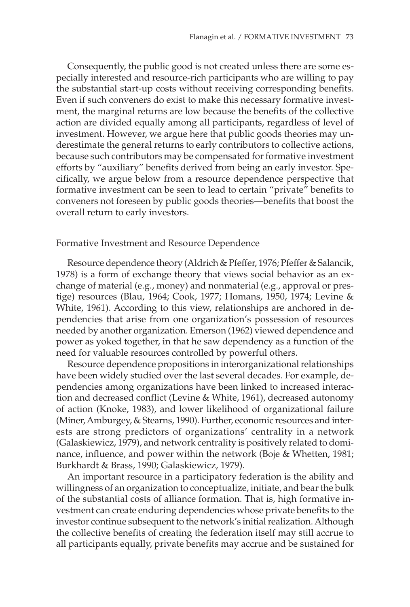Consequently, the public good is not created unless there are some especially interested and resource-rich participants who are willing to pay the substantial start-up costs without receiving corresponding benefits. Even if such conveners do exist to make this necessary formative investment, the marginal returns are low because the benefits of the collective action are divided equally among all participants, regardless of level of investment. However, we argue here that public goods theories may underestimate the general returns to early contributors to collective actions, because such contributors may be compensated for formative investment efforts by "auxiliary" benefits derived from being an early investor. Specifically, we argue below from a resource dependence perspective that formative investment can be seen to lead to certain "private" benefits to conveners not foreseen by public goods theories—benefits that boost the overall return to early investors.

Formative Investment and Resource Dependence

Resource dependence theory (Aldrich & Pfeffer, 1976; Pfeffer & Salancik, 1978) is a form of exchange theory that views social behavior as an exchange of material (e.g., money) and nonmaterial (e.g., approval or prestige) resources (Blau, 1964; Cook, 1977; Homans, 1950, 1974; Levine & White, 1961). According to this view, relationships are anchored in dependencies that arise from one organization's possession of resources needed by another organization. Emerson (1962) viewed dependence and power as yoked together, in that he saw dependency as a function of the need for valuable resources controlled by powerful others.

Resource dependence propositions in interorganizational relationships have been widely studied over the last several decades. For example, dependencies among organizations have been linked to increased interaction and decreased conflict (Levine & White, 1961), decreased autonomy of action (Knoke, 1983), and lower likelihood of organizational failure (Miner, Amburgey, & Stearns, 1990). Further, economic resources and interests are strong predictors of organizations' centrality in a network (Galaskiewicz, 1979), and network centrality is positively related to dominance, influence, and power within the network (Boje & Whetten, 1981; Burkhardt & Brass, 1990; Galaskiewicz, 1979).

An important resource in a participatory federation is the ability and willingness of an organization to conceptualize, initiate, and bear the bulk of the substantial costs of alliance formation. That is, high formative investment can create enduring dependencies whose private benefits to the investor continue subsequent to the network's initial realization. Although the collective benefits of creating the federation itself may still accrue to all participants equally, private benefits may accrue and be sustained for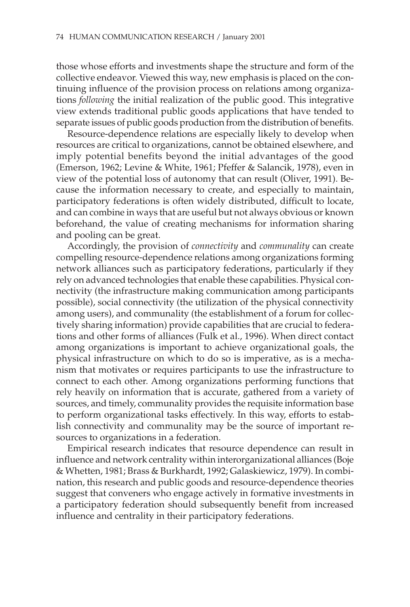those whose efforts and investments shape the structure and form of the collective endeavor. Viewed this way, new emphasis is placed on the continuing influence of the provision process on relations among organizations *following* the initial realization of the public good. This integrative view extends traditional public goods applications that have tended to separate issues of public goods production from the distribution of benefits.

Resource-dependence relations are especially likely to develop when resources are critical to organizations, cannot be obtained elsewhere, and imply potential benefits beyond the initial advantages of the good (Emerson, 1962; Levine & White, 1961; Pfeffer & Salancik, 1978), even in view of the potential loss of autonomy that can result (Oliver, 1991). Because the information necessary to create, and especially to maintain, participatory federations is often widely distributed, difficult to locate, and can combine in ways that are useful but not always obvious or known beforehand, the value of creating mechanisms for information sharing and pooling can be great.

Accordingly, the provision of *connectivity* and *communality* can create compelling resource-dependence relations among organizations forming network alliances such as participatory federations, particularly if they rely on advanced technologies that enable these capabilities. Physical connectivity (the infrastructure making communication among participants possible), social connectivity (the utilization of the physical connectivity among users), and communality (the establishment of a forum for collectively sharing information) provide capabilities that are crucial to federations and other forms of alliances (Fulk et al., 1996). When direct contact among organizations is important to achieve organizational goals, the physical infrastructure on which to do so is imperative, as is a mechanism that motivates or requires participants to use the infrastructure to connect to each other. Among organizations performing functions that rely heavily on information that is accurate, gathered from a variety of sources, and timely, communality provides the requisite information base to perform organizational tasks effectively. In this way, efforts to establish connectivity and communality may be the source of important resources to organizations in a federation.

Empirical research indicates that resource dependence can result in influence and network centrality within interorganizational alliances (Boje & Whetten, 1981; Brass & Burkhardt, 1992; Galaskiewicz, 1979). In combination, this research and public goods and resource-dependence theories suggest that conveners who engage actively in formative investments in a participatory federation should subsequently benefit from increased influence and centrality in their participatory federations.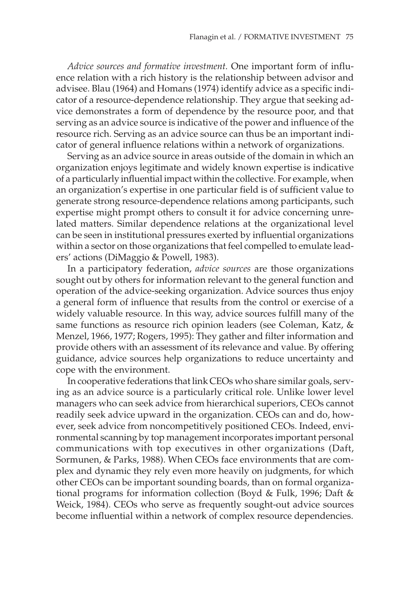*Advice sources and formative investment.* One important form of influence relation with a rich history is the relationship between advisor and advisee. Blau (1964) and Homans (1974) identify advice as a specific indicator of a resource-dependence relationship. They argue that seeking advice demonstrates a form of dependence by the resource poor, and that serving as an advice source is indicative of the power and influence of the resource rich. Serving as an advice source can thus be an important indicator of general influence relations within a network of organizations.

Serving as an advice source in areas outside of the domain in which an organization enjoys legitimate and widely known expertise is indicative of a particularly influential impact within the collective. For example, when an organization's expertise in one particular field is of sufficient value to generate strong resource-dependence relations among participants, such expertise might prompt others to consult it for advice concerning unrelated matters. Similar dependence relations at the organizational level can be seen in institutional pressures exerted by influential organizations within a sector on those organizations that feel compelled to emulate leaders' actions (DiMaggio & Powell, 1983).

In a participatory federation, *advice sources* are those organizations sought out by others for information relevant to the general function and operation of the advice-seeking organization. Advice sources thus enjoy a general form of influence that results from the control or exercise of a widely valuable resource. In this way, advice sources fulfill many of the same functions as resource rich opinion leaders (see Coleman, Katz, & Menzel, 1966, 1977; Rogers, 1995): They gather and filter information and provide others with an assessment of its relevance and value. By offering guidance, advice sources help organizations to reduce uncertainty and cope with the environment.

In cooperative federations that link CEOs who share similar goals, serving as an advice source is a particularly critical role. Unlike lower level managers who can seek advice from hierarchical superiors, CEOs cannot readily seek advice upward in the organization. CEOs can and do, however, seek advice from noncompetitively positioned CEOs. Indeed, environmental scanning by top management incorporates important personal communications with top executives in other organizations (Daft, Sormunen, & Parks, 1988). When CEOs face environments that are complex and dynamic they rely even more heavily on judgments, for which other CEOs can be important sounding boards, than on formal organizational programs for information collection (Boyd & Fulk, 1996; Daft & Weick, 1984). CEOs who serve as frequently sought-out advice sources become influential within a network of complex resource dependencies.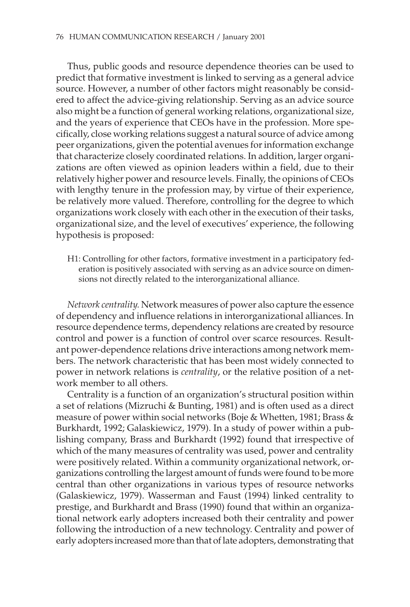Thus, public goods and resource dependence theories can be used to predict that formative investment is linked to serving as a general advice source. However, a number of other factors might reasonably be considered to affect the advice-giving relationship. Serving as an advice source also might be a function of general working relations, organizational size, and the years of experience that CEOs have in the profession. More specifically, close working relations suggest a natural source of advice among peer organizations, given the potential avenues for information exchange that characterize closely coordinated relations. In addition, larger organizations are often viewed as opinion leaders within a field, due to their relatively higher power and resource levels. Finally, the opinions of CEOs with lengthy tenure in the profession may, by virtue of their experience, be relatively more valued. Therefore, controlling for the degree to which organizations work closely with each other in the execution of their tasks, organizational size, and the level of executives' experience, the following hypothesis is proposed:

H1: Controlling for other factors, formative investment in a participatory federation is positively associated with serving as an advice source on dimensions not directly related to the interorganizational alliance.

*Network centrality.* Network measures of power also capture the essence of dependency and influence relations in interorganizational alliances. In resource dependence terms, dependency relations are created by resource control and power is a function of control over scarce resources. Resultant power-dependence relations drive interactions among network members. The network characteristic that has been most widely connected to power in network relations is *centrality*, or the relative position of a network member to all others.

Centrality is a function of an organization's structural position within a set of relations (Mizruchi & Bunting, 1981) and is often used as a direct measure of power within social networks (Boje & Whetten, 1981; Brass & Burkhardt, 1992; Galaskiewicz, 1979). In a study of power within a publishing company, Brass and Burkhardt (1992) found that irrespective of which of the many measures of centrality was used, power and centrality were positively related. Within a community organizational network, organizations controlling the largest amount of funds were found to be more central than other organizations in various types of resource networks (Galaskiewicz, 1979). Wasserman and Faust (1994) linked centrality to prestige, and Burkhardt and Brass (1990) found that within an organizational network early adopters increased both their centrality and power following the introduction of a new technology. Centrality and power of early adopters increased more than that of late adopters, demonstrating that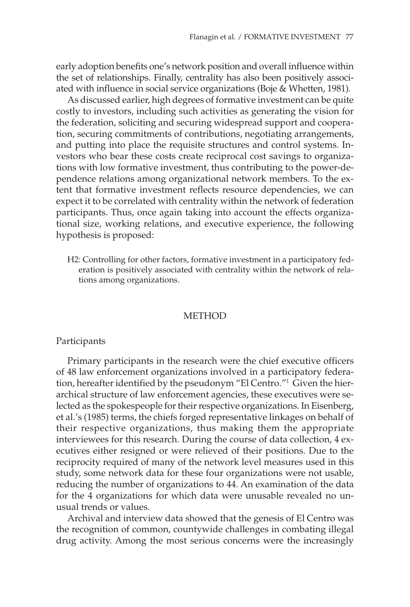early adoption benefits one's network position and overall influence within the set of relationships. Finally, centrality has also been positively associated with influence in social service organizations (Boje & Whetten, 1981).

As discussed earlier, high degrees of formative investment can be quite costly to investors, including such activities as generating the vision for the federation, soliciting and securing widespread support and cooperation, securing commitments of contributions, negotiating arrangements, and putting into place the requisite structures and control systems. Investors who bear these costs create reciprocal cost savings to organizations with low formative investment, thus contributing to the power-dependence relations among organizational network members. To the extent that formative investment reflects resource dependencies, we can expect it to be correlated with centrality within the network of federation participants. Thus, once again taking into account the effects organizational size, working relations, and executive experience, the following hypothesis is proposed:

H2: Controlling for other factors, formative investment in a participatory federation is positively associated with centrality within the network of relations among organizations.

## **METHOD**

#### Participants

Primary participants in the research were the chief executive officers of 48 law enforcement organizations involved in a participatory federation, hereafter identified by the pseudonym "El Centro."1 Given the hierarchical structure of law enforcement agencies, these executives were selected as the spokespeople for their respective organizations. In Eisenberg, et al.'s (1985) terms, the chiefs forged representative linkages on behalf of their respective organizations, thus making them the appropriate interviewees for this research. During the course of data collection, 4 executives either resigned or were relieved of their positions. Due to the reciprocity required of many of the network level measures used in this study, some network data for these four organizations were not usable, reducing the number of organizations to 44. An examination of the data for the 4 organizations for which data were unusable revealed no unusual trends or values.

Archival and interview data showed that the genesis of El Centro was the recognition of common, countywide challenges in combating illegal drug activity. Among the most serious concerns were the increasingly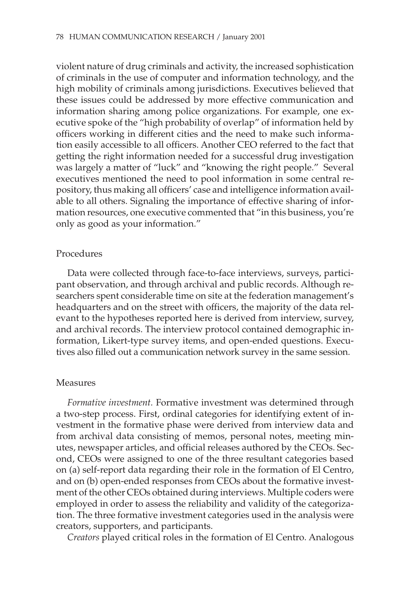violent nature of drug criminals and activity, the increased sophistication of criminals in the use of computer and information technology, and the high mobility of criminals among jurisdictions. Executives believed that these issues could be addressed by more effective communication and information sharing among police organizations. For example, one executive spoke of the "high probability of overlap" of information held by officers working in different cities and the need to make such information easily accessible to all officers. Another CEO referred to the fact that getting the right information needed for a successful drug investigation was largely a matter of "luck" and "knowing the right people." Several executives mentioned the need to pool information in some central repository, thus making all officers' case and intelligence information available to all others. Signaling the importance of effective sharing of information resources, one executive commented that "in this business, you're only as good as your information."

# Procedures

Data were collected through face-to-face interviews, surveys, participant observation, and through archival and public records. Although researchers spent considerable time on site at the federation management's headquarters and on the street with officers, the majority of the data relevant to the hypotheses reported here is derived from interview, survey, and archival records. The interview protocol contained demographic information, Likert-type survey items, and open-ended questions. Executives also filled out a communication network survey in the same session.

#### Measures

*Formative investment.* Formative investment was determined through a two-step process. First, ordinal categories for identifying extent of investment in the formative phase were derived from interview data and from archival data consisting of memos, personal notes, meeting minutes, newspaper articles, and official releases authored by the CEOs. Second, CEOs were assigned to one of the three resultant categories based on (a) self-report data regarding their role in the formation of El Centro, and on (b) open-ended responses from CEOs about the formative investment of the other CEOs obtained during interviews. Multiple coders were employed in order to assess the reliability and validity of the categorization. The three formative investment categories used in the analysis were creators, supporters, and participants.

*Creators* played critical roles in the formation of El Centro. Analogous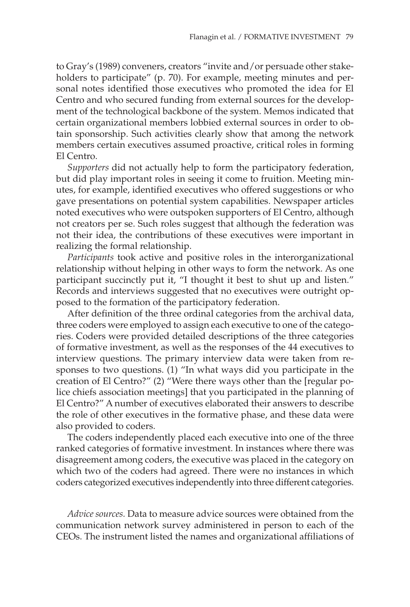to Gray's (1989) conveners, creators "invite and/or persuade other stakeholders to participate" (p. 70). For example, meeting minutes and personal notes identified those executives who promoted the idea for El Centro and who secured funding from external sources for the development of the technological backbone of the system. Memos indicated that certain organizational members lobbied external sources in order to obtain sponsorship. Such activities clearly show that among the network members certain executives assumed proactive, critical roles in forming El Centro.

*Supporters* did not actually help to form the participatory federation, but did play important roles in seeing it come to fruition. Meeting minutes, for example, identified executives who offered suggestions or who gave presentations on potential system capabilities. Newspaper articles noted executives who were outspoken supporters of El Centro, although not creators per se. Such roles suggest that although the federation was not their idea, the contributions of these executives were important in realizing the formal relationship.

*Participants* took active and positive roles in the interorganizational relationship without helping in other ways to form the network. As one participant succinctly put it, "I thought it best to shut up and listen." Records and interviews suggested that no executives were outright opposed to the formation of the participatory federation.

After definition of the three ordinal categories from the archival data, three coders were employed to assign each executive to one of the categories. Coders were provided detailed descriptions of the three categories of formative investment, as well as the responses of the 44 executives to interview questions. The primary interview data were taken from responses to two questions. (1) "In what ways did you participate in the creation of El Centro?" (2) "Were there ways other than the [regular police chiefs association meetings] that you participated in the planning of El Centro?" A number of executives elaborated their answers to describe the role of other executives in the formative phase, and these data were also provided to coders.

The coders independently placed each executive into one of the three ranked categories of formative investment. In instances where there was disagreement among coders, the executive was placed in the category on which two of the coders had agreed. There were no instances in which coders categorized executives independently into three different categories.

*Advice sources.* Data to measure advice sources were obtained from the communication network survey administered in person to each of the CEOs. The instrument listed the names and organizational affiliations of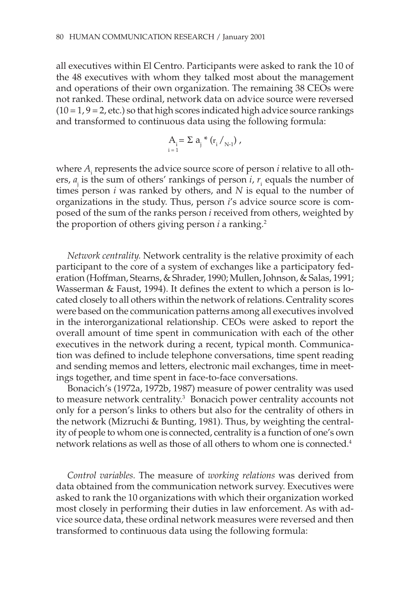all executives within El Centro. Participants were asked to rank the 10 of the 48 executives with whom they talked most about the management and operations of their own organization. The remaining 38 CEOs were not ranked. These ordinal, network data on advice source were reversed  $(10 = 1, 9 = 2,$  etc.) so that high scores indicated high advice source rankings and transformed to continuous data using the following formula:

$$
A_{i} = \sum_{j=1}^{n} a_{j} * (r_{i} / r_{N-1}) ,
$$

where *A*<sup>i</sup> represents the advice source score of person *i* relative to all others,  $a<sub>j</sub>$  is the sum of others' rankings of person *i*,  $r<sub>i</sub>$  equals the number of times person *i* was ranked by others, and *N* is equal to the number of organizations in the study. Thus, person *i*'s advice source score is composed of the sum of the ranks person *i* received from others, weighted by the proportion of others giving person *i* a ranking.2

*Network centrality.* Network centrality is the relative proximity of each participant to the core of a system of exchanges like a participatory federation (Hoffman, Stearns, & Shrader, 1990; Mullen, Johnson, & Salas, 1991; Wasserman & Faust, 1994). It defines the extent to which a person is located closely to all others within the network of relations. Centrality scores were based on the communication patterns among all executives involved in the interorganizational relationship. CEOs were asked to report the overall amount of time spent in communication with each of the other executives in the network during a recent, typical month. Communication was defined to include telephone conversations, time spent reading and sending memos and letters, electronic mail exchanges, time in meetings together, and time spent in face-to-face conversations.

Bonacich's (1972a, 1972b, 1987) measure of power centrality was used to measure network centrality.<sup>3</sup> Bonacich power centrality accounts not only for a person's links to others but also for the centrality of others in the network (Mizruchi & Bunting, 1981). Thus, by weighting the centrality of people to whom one is connected, centrality is a function of one's own network relations as well as those of all others to whom one is connected.<sup>4</sup>

*Control variables.* The measure of *working relations* was derived from data obtained from the communication network survey. Executives were asked to rank the 10 organizations with which their organization worked most closely in performing their duties in law enforcement. As with advice source data, these ordinal network measures were reversed and then transformed to continuous data using the following formula: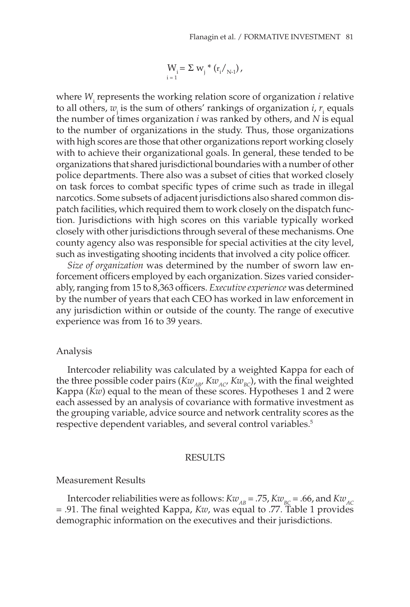$$
W_{i} = \sum_{i=1}^{N} W_{j}^{*} (r_{i}/_{N-1}),
$$

where  $W_i$  represents the working relation score of organization *i* relative to all others,  $w_j$  is the sum of others' rankings of organization *i*,  $r_i$  equals the number of times organization *i* was ranked by others, and *N* is equal to the number of organizations in the study. Thus, those organizations with high scores are those that other organizations report working closely with to achieve their organizational goals. In general, these tended to be organizations that shared jurisdictional boundaries with a number of other police departments. There also was a subset of cities that worked closely on task forces to combat specific types of crime such as trade in illegal narcotics. Some subsets of adjacent jurisdictions also shared common dispatch facilities, which required them to work closely on the dispatch function. Jurisdictions with high scores on this variable typically worked closely with other jurisdictions through several of these mechanisms. One county agency also was responsible for special activities at the city level, such as investigating shooting incidents that involved a city police officer.

*Size of organization* was determined by the number of sworn law enforcement officers employed by each organization. Sizes varied considerably, ranging from 15 to 8,363 officers. *Executive experience* was determined by the number of years that each CEO has worked in law enforcement in any jurisdiction within or outside of the county. The range of executive experience was from 16 to 39 years.

#### Analysis

Intercoder reliability was calculated by a weighted Kappa for each of the three possible coder pairs ( $Kw_{AB}$ ,  $Kw_{AC}$ ,  $Kw_{BC}$ ), with the final weighted Kappa (*Kw*) equal to the mean of these scores. Hypotheses 1 and 2 were each assessed by an analysis of covariance with formative investment as the grouping variable, advice source and network centrality scores as the respective dependent variables, and several control variables.<sup>5</sup>

# RESULTS

# Measurement Results

Intercoder reliabilities were as follows:  $Kw_{AB} = .75$ ,  $Kw_{BC} = .66$ , and  $Kw_{AC}$ = .91. The final weighted Kappa,  $Kw$ , was equal to .77. Table 1 provides demographic information on the executives and their jurisdictions.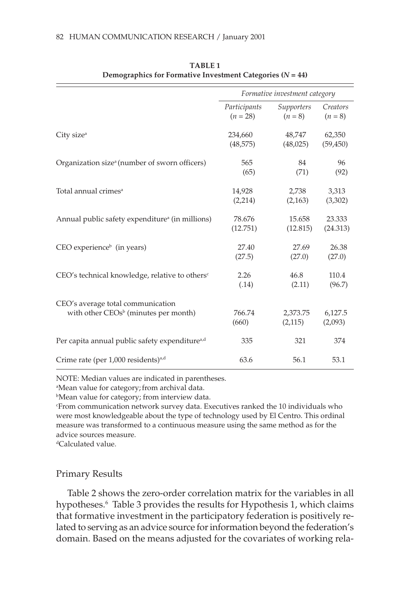|                                                             | Formative investment category |            |           |
|-------------------------------------------------------------|-------------------------------|------------|-----------|
|                                                             | Participants                  | Supporters | Creators  |
|                                                             | $(n = 28)$                    | $(n = 8)$  | $(n = 8)$ |
| City size <sup>a</sup>                                      | 234,660                       | 48,747     | 62,350    |
|                                                             | (48, 575)                     | (48,025)   | (59, 450) |
| Organization size <sup>a</sup> (number of sworn officers)   | 565                           | 84         | 96        |
|                                                             | (65)                          | (71)       | (92)      |
| Total annual crimes <sup>a</sup>                            | 14,928                        | 2,738      | 3,313     |
|                                                             | (2,214)                       | (2,163)    | (3,302)   |
| Annual public safety expenditure <sup>a</sup> (in millions) | 78.676                        | 15.658     | 23.333    |
|                                                             | (12.751)                      | (12.815)   | (24.313)  |
| $CEO$ experience $\phi$ (in years)                          | 27.40                         | 27.69      | 26.38     |
|                                                             | (27.5)                        | (27.0)     | (27.0)    |
| CEO's technical knowledge, relative to others <sup>c</sup>  | 2.26                          | 46.8       | 110.4     |
|                                                             | (.14)                         | (2.11)     | (96.7)    |
| CEO's average total communication                           | 766.74                        | 2,373.75   | 6,127.5   |
| with other CEOs <sup>b</sup> (minutes per month)            | (660)                         | (2, 115)   | (2,093)   |
| Per capita annual public safety expenditure <sup>a,d</sup>  | 335                           | 321        | 374       |
| Crime rate (per 1,000 residents) <sup>a,d</sup>             | 63.6                          | 56.1       | 53.1      |

**TABLE 1 Demographics for Formative Investment Categories (***N* **= 44)**

NOTE: Median values are indicated in parentheses.

a Mean value for category;from archival data.

**Mean value for category; from interview data.** 

c From communication network survey data. Executives ranked the 10 individuals who were most knowledgeable about the type of technology used by El Centro. This ordinal measure was transformed to a continuous measure using the same method as for the advice sources measure.

dCalculated value.

# Primary Results

Table 2 shows the zero-order correlation matrix for the variables in all hypotheses.6 Table 3 provides the results for Hypothesis 1, which claims that formative investment in the participatory federation is positively related to serving as an advice source for information beyond the federation's domain. Based on the means adjusted for the covariates of working rela-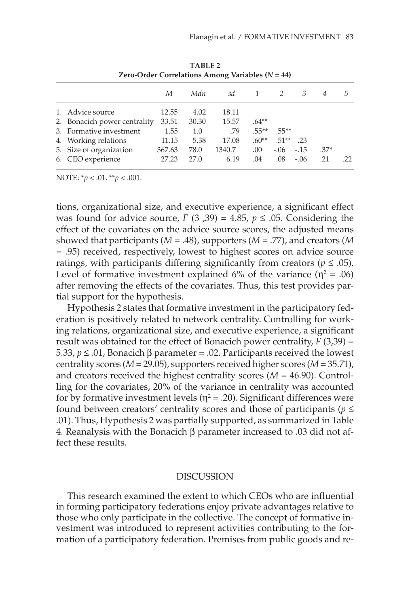|                              | М      | Mdn   | sd     |         |         | 3      | 4      | .h  |
|------------------------------|--------|-------|--------|---------|---------|--------|--------|-----|
| 1. Advice source             | 12.55  | 4.02  | 18.11  |         |         |        |        |     |
| 2. Bonacich power centrality | 33.51  | 30.30 | 15.57  | $.64**$ |         |        |        |     |
| 3. Formative investment      | 1.55   | 1.0   | .79    | $.55**$ | $.55**$ |        |        |     |
| 4. Working relations         | 11.15  | 5.38  | 17.08  | $.60**$ | $.51**$ | -23    |        |     |
| 5. Size of organization      | 367.63 | 78.0  | 1340.7 | .00     | $-.06$  | $-.15$ | $.37*$ |     |
| 6. CEO experience            | 27.23  | 27.0  | 6.19   | .04     | .08     | $-.06$ | .21    | .22 |

**TABLE 2 Zero-Order Correlations Among Variables (***N* **= 44)**

NOTE: \**p* < .01. \*\**p* < .001.

tions, organizational size, and executive experience, a significant effect was found for advice source,  $F(3,39) = 4.85$ ,  $p \le .05$ . Considering the effect of the covariates on the advice source scores, the adjusted means showed that participants (*M* = .48), supporters (*M* = .77), and creators (*M* = .95) received, respectively, lowest to highest scores on advice source ratings, with participants differing significantly from creators ( $p \leq .05$ ). Level of formative investment explained 6% of the variance ( $\eta^2 = .06$ ) after removing the effects of the covariates. Thus, this test provides partial support for the hypothesis.

Hypothesis 2 states that formative investment in the participatory federation is positively related to network centrality. Controlling for working relations, organizational size, and executive experience, a significant result was obtained for the effect of Bonacich power centrality, *F* (3,39) = 5.33, *p* ≤ .01, Bonacich β parameter = .02. Participants received the lowest centrality scores (*M* = 29.05), supporters received higher scores (*M* = 35.71), and creators received the highest centrality scores (*M* = 46.90). Controlling for the covariates, 20% of the variance in centrality was accounted for by formative investment levels ( $\eta^2$  = .20). Significant differences were found between creators' centrality scores and those of participants ( $p \leq$ .01). Thus, Hypothesis 2 was partially supported, as summarized in Table 4. Reanalysis with the Bonacich β parameter increased to .03 did not affect these results.

### DISCUSSION

This research examined the extent to which CEOs who are influential in forming participatory federations enjoy private advantages relative to those who only participate in the collective. The concept of formative investment was introduced to represent activities contributing to the formation of a participatory federation. Premises from public goods and re-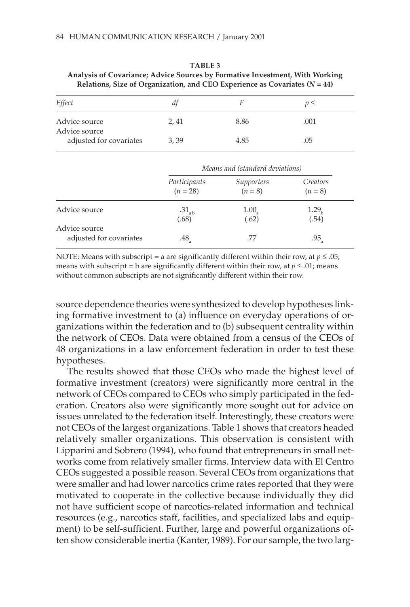| Relations, Size of Organization, and CEO Experience as Covariates $(N = 44)$ |      |      |          |
|------------------------------------------------------------------------------|------|------|----------|
| Effect                                                                       | df   |      | $p \leq$ |
| Advice source<br>Advice source                                               | 2.41 | 8.86 | .001     |
| adjusted for covariates                                                      | 3.39 | 4.85 | .05      |
|                                                                              |      |      |          |

**TABLE 3 Analysis of Covariance; Advice Sources by Formative Investment, With Working**

|                                          | Means and (standard deviations) |            |                   |  |
|------------------------------------------|---------------------------------|------------|-------------------|--|
|                                          | Participants                    | Supporters | Creators          |  |
|                                          | $(n = 28)$                      | $(n = 8)$  | $(n = 8)$         |  |
| Advice source                            | $.31_{\text{ab}}$               | 1.00       | 1.29 <sub>b</sub> |  |
|                                          | (.68)                           | (.62)      | (.54)             |  |
| Advice source<br>adjusted for covariates | .48                             | .77        | .95               |  |

NOTE: Means with subscript = a are significantly different within their row, at  $p \le 0.05$ ; means with subscript = b are significantly different within their row, at  $p \le 0.01$ ; means without common subscripts are not significantly different within their row.

source dependence theories were synthesized to develop hypotheses linking formative investment to (a) influence on everyday operations of organizations within the federation and to (b) subsequent centrality within the network of CEOs. Data were obtained from a census of the CEOs of 48 organizations in a law enforcement federation in order to test these hypotheses.

The results showed that those CEOs who made the highest level of formative investment (creators) were significantly more central in the network of CEOs compared to CEOs who simply participated in the federation. Creators also were significantly more sought out for advice on issues unrelated to the federation itself. Interestingly, these creators were not CEOs of the largest organizations. Table 1 shows that creators headed relatively smaller organizations. This observation is consistent with Lipparini and Sobrero (1994), who found that entrepreneurs in small networks come from relatively smaller firms. Interview data with El Centro CEOs suggested a possible reason. Several CEOs from organizations that were smaller and had lower narcotics crime rates reported that they were motivated to cooperate in the collective because individually they did not have sufficient scope of narcotics-related information and technical resources (e.g., narcotics staff, facilities, and specialized labs and equipment) to be self-sufficient. Further, large and powerful organizations often show considerable inertia (Kanter, 1989). For our sample, the two larg-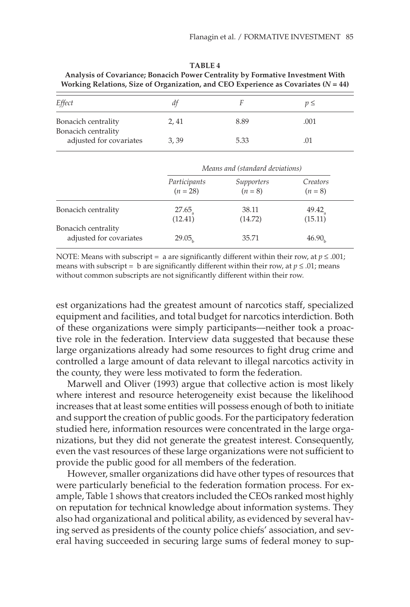| Working Relations, Size of Organization, and CEO Experience as Covariates $(N = 44)$ |                      |                                 |           |  |  |
|--------------------------------------------------------------------------------------|----------------------|---------------------------------|-----------|--|--|
| Effect                                                                               | df                   | F                               | $p \leq$  |  |  |
| Bonacich centrality<br>Bonacich centrality                                           | 2, 41                | 8.89                            | .001      |  |  |
| adjusted for covariates                                                              | 3,39                 | 5.33                            | .01       |  |  |
|                                                                                      |                      | Means and (standard deviations) |           |  |  |
|                                                                                      | Participants         | Supporters                      | Creators  |  |  |
|                                                                                      | $(n = 28)$           | $(n = 8)$                       | $(n = 8)$ |  |  |
| Bonacich centrality                                                                  | 27.65                | 38.11                           | 49.42     |  |  |
|                                                                                      | (12.41)              | (14.72)                         | (15.11)   |  |  |
| Bonacich centrality<br>adjusted for covariates                                       | $29.05$ <sub>r</sub> | 35.71                           | 46.90,    |  |  |
|                                                                                      |                      |                                 |           |  |  |

**TABLE 4 Analysis of Covariance; Bonacich Power Centrality by Formative Investment With**

NOTE: Means with subscript = a are significantly different within their row, at  $p \leq .001$ ; means with subscript = b are significantly different within their row, at  $p \le 0.01$ ; means without common subscripts are not significantly different within their row.

est organizations had the greatest amount of narcotics staff, specialized equipment and facilities, and total budget for narcotics interdiction. Both of these organizations were simply participants—neither took a proactive role in the federation. Interview data suggested that because these large organizations already had some resources to fight drug crime and controlled a large amount of data relevant to illegal narcotics activity in the county, they were less motivated to form the federation.

Marwell and Oliver (1993) argue that collective action is most likely where interest and resource heterogeneity exist because the likelihood increases that at least some entities will possess enough of both to initiate and support the creation of public goods. For the participatory federation studied here, information resources were concentrated in the large organizations, but they did not generate the greatest interest. Consequently, even the vast resources of these large organizations were not sufficient to provide the public good for all members of the federation.

However, smaller organizations did have other types of resources that were particularly beneficial to the federation formation process. For example, Table 1 shows that creators included the CEOs ranked most highly on reputation for technical knowledge about information systems. They also had organizational and political ability, as evidenced by several having served as presidents of the county police chiefs' association, and several having succeeded in securing large sums of federal money to sup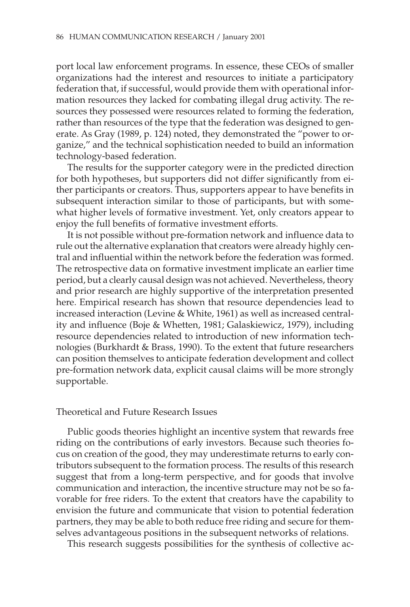port local law enforcement programs. In essence, these CEOs of smaller organizations had the interest and resources to initiate a participatory federation that, if successful, would provide them with operational information resources they lacked for combating illegal drug activity. The resources they possessed were resources related to forming the federation, rather than resources of the type that the federation was designed to generate. As Gray (1989, p. 124) noted, they demonstrated the "power to organize," and the technical sophistication needed to build an information technology-based federation.

The results for the supporter category were in the predicted direction for both hypotheses, but supporters did not differ significantly from either participants or creators. Thus, supporters appear to have benefits in subsequent interaction similar to those of participants, but with somewhat higher levels of formative investment. Yet, only creators appear to enjoy the full benefits of formative investment efforts.

It is not possible without pre-formation network and influence data to rule out the alternative explanation that creators were already highly central and influential within the network before the federation was formed. The retrospective data on formative investment implicate an earlier time period, but a clearly causal design was not achieved. Nevertheless, theory and prior research are highly supportive of the interpretation presented here. Empirical research has shown that resource dependencies lead to increased interaction (Levine & White, 1961) as well as increased centrality and influence (Boje & Whetten, 1981; Galaskiewicz, 1979), including resource dependencies related to introduction of new information technologies (Burkhardt & Brass, 1990). To the extent that future researchers can position themselves to anticipate federation development and collect pre-formation network data, explicit causal claims will be more strongly supportable.

# Theoretical and Future Research Issues

Public goods theories highlight an incentive system that rewards free riding on the contributions of early investors. Because such theories focus on creation of the good, they may underestimate returns to early contributors subsequent to the formation process. The results of this research suggest that from a long-term perspective, and for goods that involve communication and interaction, the incentive structure may not be so favorable for free riders. To the extent that creators have the capability to envision the future and communicate that vision to potential federation partners, they may be able to both reduce free riding and secure for themselves advantageous positions in the subsequent networks of relations.

This research suggests possibilities for the synthesis of collective ac-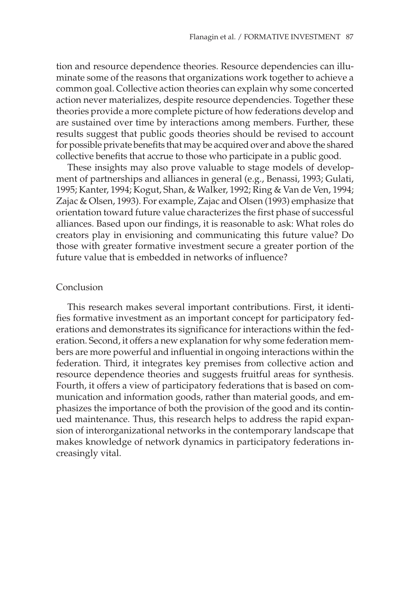tion and resource dependence theories. Resource dependencies can illuminate some of the reasons that organizations work together to achieve a common goal. Collective action theories can explain why some concerted action never materializes, despite resource dependencies. Together these theories provide a more complete picture of how federations develop and are sustained over time by interactions among members. Further, these results suggest that public goods theories should be revised to account for possible private benefits that may be acquired over and above the shared collective benefits that accrue to those who participate in a public good.

These insights may also prove valuable to stage models of development of partnerships and alliances in general (e.g., Benassi, 1993; Gulati, 1995; Kanter, 1994; Kogut, Shan, & Walker, 1992; Ring & Van de Ven, 1994; Zajac & Olsen, 1993). For example, Zajac and Olsen (1993) emphasize that orientation toward future value characterizes the first phase of successful alliances. Based upon our findings, it is reasonable to ask: What roles do creators play in envisioning and communicating this future value? Do those with greater formative investment secure a greater portion of the future value that is embedded in networks of influence?

## Conclusion

This research makes several important contributions. First, it identifies formative investment as an important concept for participatory federations and demonstrates its significance for interactions within the federation. Second, it offers a new explanation for why some federation members are more powerful and influential in ongoing interactions within the federation. Third, it integrates key premises from collective action and resource dependence theories and suggests fruitful areas for synthesis. Fourth, it offers a view of participatory federations that is based on communication and information goods, rather than material goods, and emphasizes the importance of both the provision of the good and its continued maintenance. Thus, this research helps to address the rapid expansion of interorganizational networks in the contemporary landscape that makes knowledge of network dynamics in participatory federations increasingly vital.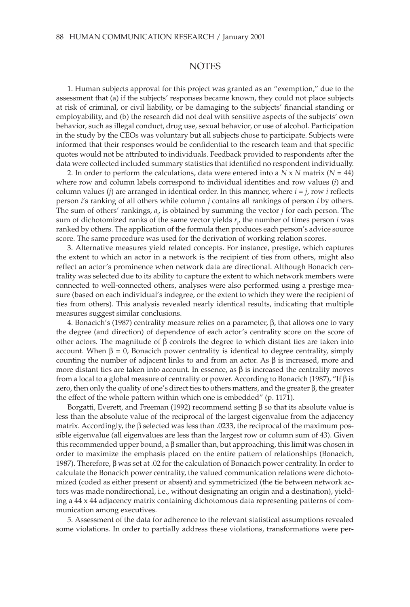#### **NOTES**

1. Human subjects approval for this project was granted as an "exemption," due to the assessment that (a) if the subjects' responses became known, they could not place subjects at risk of criminal, or civil liability, or be damaging to the subjects' financial standing or employability, and (b) the research did not deal with sensitive aspects of the subjects' own behavior, such as illegal conduct, drug use, sexual behavior, or use of alcohol. Participation in the study by the CEOs was voluntary but all subjects chose to participate. Subjects were informed that their responses would be confidential to the research team and that specific quotes would not be attributed to individuals. Feedback provided to respondents after the data were collected included summary statistics that identified no respondent individually.

2. In order to perform the calculations, data were entered into a  $N \times N$  matrix ( $N = 44$ ) where row and column labels correspond to individual identities and row values (*i*) and column values  $(i)$  are arranged in identical order. In this manner, where  $i = j$ , row  $i$  reflects person *i*'s ranking of all others while column *j* contains all rankings of person *i* by others. The sum of others' rankings,  $a_{\gamma}$  is obtained by summing the vector *j* for each person. The sum of dichotomized ranks of the same vector yields  $r_{i}$ , the number of times person *i* was ranked by others. The application of the formula then produces each person's advice source score. The same procedure was used for the derivation of working relation scores.

3. Alternative measures yield related concepts. For instance, prestige, which captures the extent to which an actor in a network is the recipient of ties from others, might also reflect an actor's prominence when network data are directional. Although Bonacich centrality was selected due to its ability to capture the extent to which network members were connected to well-connected others, analyses were also performed using a prestige measure (based on each individual's indegree, or the extent to which they were the recipient of ties from others). This analysis revealed nearly identical results, indicating that multiple measures suggest similar conclusions.

4. Bonacich's (1987) centrality measure relies on a parameter, β, that allows one to vary the degree (and direction) of dependence of each actor's centrality score on the score of other actors. The magnitude of β controls the degree to which distant ties are taken into account. When  $\beta = 0$ , Bonacich power centrality is identical to degree centrality, simply counting the number of adjacent links to and from an actor. As β is increased, more and more distant ties are taken into account. In essence, as  $\beta$  is increased the centrality moves from a local to a global measure of centrality or power. According to Bonacich (1987), "If β is zero, then only the quality of one's direct ties to others matters, and the greater β, the greater the effect of the whole pattern within which one is embedded" (p. 1171).

Borgatti, Everett, and Freeman (1992) recommend setting  $\beta$  so that its absolute value is less than the absolute value of the reciprocal of the largest eigenvalue from the adjacency matrix. Accordingly, the β selected was less than .0233, the reciprocal of the maximum possible eigenvalue (all eigenvalues are less than the largest row or column sum of 43). Given this recommended upper bound, a β smaller than, but approaching, this limit was chosen in order to maximize the emphasis placed on the entire pattern of relationships (Bonacich, 1987). Therefore, β was set at .02 for the calculation of Bonacich power centrality. In order to calculate the Bonacich power centrality, the valued communication relations were dichotomized (coded as either present or absent) and symmetricized (the tie between network actors was made nondirectional, i.e., without designating an origin and a destination), yielding a 44 x 44 adjacency matrix containing dichotomous data representing patterns of communication among executives.

5. Assessment of the data for adherence to the relevant statistical assumptions revealed some violations. In order to partially address these violations, transformations were per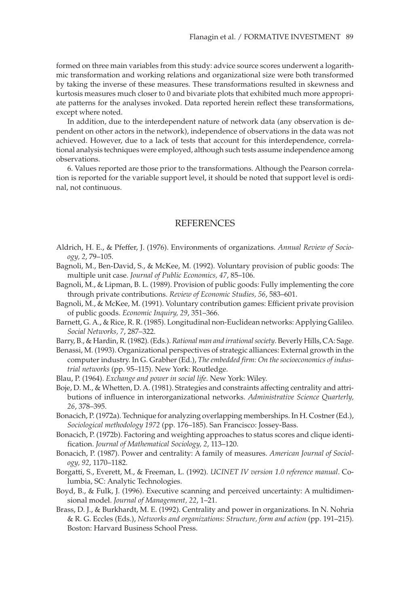formed on three main variables from this study: advice source scores underwent a logarithmic transformation and working relations and organizational size were both transformed by taking the inverse of these measures. These transformations resulted in skewness and kurtosis measures much closer to 0 and bivariate plots that exhibited much more appropriate patterns for the analyses invoked. Data reported herein reflect these transformations, except where noted.

In addition, due to the interdependent nature of network data (any observation is dependent on other actors in the network), independence of observations in the data was not achieved. However, due to a lack of tests that account for this interdependence, correlational analysis techniques were employed, although such tests assume independence among observations.

6. Values reported are those prior to the transformations. Although the Pearson correlation is reported for the variable support level, it should be noted that support level is ordinal, not continuous.

## **REFERENCES**

- Aldrich, H. E., & Pfeffer, J. (1976). Environments of organizations. *Annual Review of Socioogy, 2*, 79–105.
- Bagnoli, M., Ben-David, S., & McKee, M. (1992). Voluntary provision of public goods: The multiple unit case. *Journal of Public Economics, 47*, 85–106.
- Bagnoli, M., & Lipman, B. L. (1989). Provision of public goods: Fully implementing the core through private contributions. *Review of Economic Studies, 56*, 583–601.
- Bagnoli, M., & McKee, M. (1991). Voluntary contribution games: Efficient private provision of public goods. *Economic Inquiry, 29*, 351–366.
- Barnett, G. A., & Rice, R. R. (1985). Longitudinal non-Euclidean networks: Applying Galileo. *Social Networks, 7*, 287–322.
- Barry, B., & Hardin, R. (1982). (Eds.). *Rational man and irrational society*. Beverly Hills, CA: Sage.
- Benassi, M. (1993). Organizational perspectives of strategic alliances: External growth in the computer industry. In G. Grabher (Ed.), *The embedded firm: On the socioeconomics of industrial networks* (pp. 95–115). New York: Routledge.
- Blau, P. (1964). *Exchange and power in social life*. New York: Wiley.
- Boje, D. M., & Whetten, D. A. (1981). Strategies and constraints affecting centrality and attributions of influence in interorganizational networks. *Administrative Science Quarterly, 26*, 378–395.
- Bonacich, P. (1972a). Technique for analyzing overlapping memberships. In H. Costner (Ed.), *Sociological methodology 1972* (pp. 176–185). San Francisco: Jossey-Bass.
- Bonacich, P. (1972b). Factoring and weighting approaches to status scores and clique identification. *Journal of Mathematical Sociology, 2*, 113–120.
- Bonacich, P. (1987). Power and centrality: A family of measures. *American Journal of Sociology, 92*, 1170–1182.
- Borgatti, S., Everett, M., & Freeman, L. (1992). *UCINET IV version 1.0 reference manual*. Columbia, SC: Analytic Technologies.
- Boyd, B., & Fulk, J. (1996). Executive scanning and perceived uncertainty: A multidimensional model. *Journal of Management, 22*, 1–21.
- Brass, D. J., & Burkhardt, M. E. (1992). Centrality and power in organizations. In N. Nohria & R. G. Eccles (Eds.), *Networks and organizations: Structure, form and action* (pp. 191–215). Boston: Harvard Business School Press.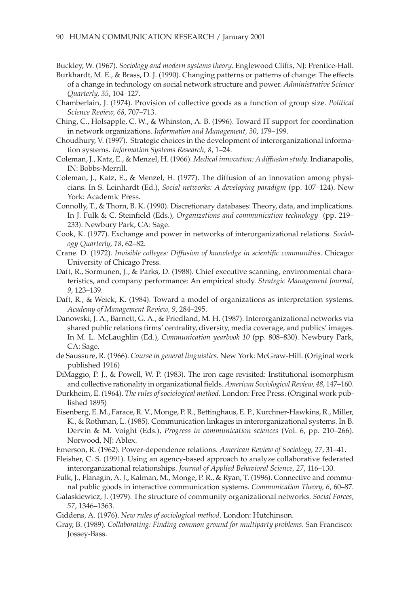Buckley, W. (1967). *Sociology and modern systems theory*. Englewood Cliffs, NJ: Prentice-Hall.

- Burkhardt, M. E., & Brass, D. J. (1990). Changing patterns or patterns of change: The effects of a change in technology on social network structure and power. *Administrative Science Quarterly, 35*, 104–127.
- Chamberlain, J. (1974). Provision of collective goods as a function of group size. *Political Science Review, 68*, 707–713.
- Ching, C., Holsapple, C. W., & Whinston, A. B. (1996). Toward IT support for coordination in network organizations. *Information and Management, 30*, 179–199.
- Choudhury, V. (1997). Strategic choices in the development of interorganizational information systems. *Information Systems Research, 8*, 1–24.
- Coleman, J., Katz, E., & Menzel, H. (1966). *Medical innovation: A diffusion study*. Indianapolis, IN: Bobbs-Merrill.
- Coleman, J., Katz, E., & Menzel, H. (1977). The diffusion of an innovation among physicians. In S. Leinhardt (Ed.), *Social networks: A developing paradigm* (pp. 107–124). New York: Academic Press.
- Connolly, T., & Thorn, B. K. (1990). Discretionary databases: Theory, data, and implications. In J. Fulk & C. Steinfield (Eds.), *Organizations and communication technology* (pp. 219– 233). Newbury Park, CA: Sage.
- Cook, K. (1977). Exchange and power in networks of interorganizational relations. *Sociology Quarterly, 18*, 62–82.
- Crane. D. (1972). *Invisible colleges: Diffusion of knowledge in scientific communities*. Chicago: University of Chicago Press.
- Daft, R., Sormunen, J., & Parks, D. (1988). Chief executive scanning, environmental charateristics, and company performance: An empirical study. *Strategic Management Journal, 9*, 123–139.
- Daft, R., & Weick, K. (1984). Toward a model of organizations as interpretation systems. *Academy of Management Review, 9*, 284–295.
- Danowski, J. A., Barnett, G. A., & Friedland, M. H. (1987). Interorganizational networks via shared public relations firms' centrality, diversity, media coverage, and publics' images. In M. L. McLaughlin (Ed.), *Communication yearbook 10* (pp. 808–830). Newbury Park, CA: Sage.
- de Saussure, R. (1966). *Course in general linguistics*. New York: McGraw-Hill. (Original work published 1916)
- DiMaggio, P. J., & Powell, W. P. (1983). The iron cage revisited: Institutional isomorphism and collective rationality in organizational fields. *American Sociological Review, 48*, 147–160.
- Durkheim, E. (1964). *The rules of sociological method*. London: Free Press. (Original work published 1895)
- Eisenberg, E. M., Farace, R. V., Monge, P. R., Bettinghaus, E. P., Kurchner-Hawkins, R., Miller, K., & Rothman, L. (1985). Communication linkages in interorganizational systems. In B. Dervin & M. Voight (Eds*.*), *Progress in communication sciences* (Vol. 6, pp. 210–266). Norwood, NJ: Ablex.
- Emerson, R. (1962). Power-dependence relations. *American Review of Sociology, 27*, 31–41.
- Fleisher, C. S. (1991). Using an agency-based approach to analyze collaborative federated interorganizational relationships. *Journal of Applied Behavioral Science, 27*, 116–130.
- Fulk, J., Flanagin, A. J., Kalman, M., Monge, P. R., & Ryan, T. (1996). Connective and communal public goods in interactive communication systems. *Communication Theory, 6*, 60–87.
- Galaskiewicz, J. (1979). The structure of community organizational networks. *Social Forces, 57*, 1346–1363.
- Giddens, A. (1976). *New rules of sociological method*. London: Hutchinson.
- Gray, B. (1989). *Collaborating: Finding common ground for multiparty problems*. San Francisco: Jossey-Bass.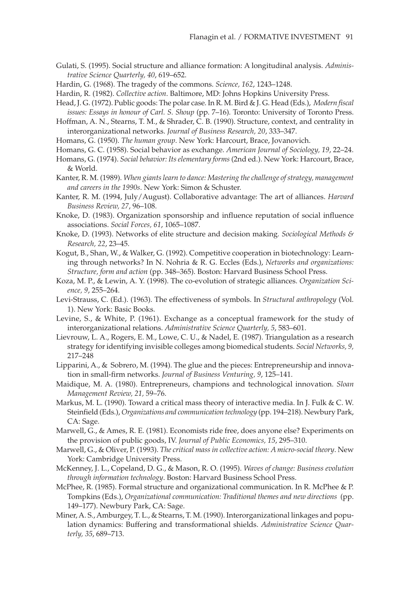- Gulati, S. (1995). Social structure and alliance formation: A longitudinal analysis. *Administrative Science Quarterly, 40*, 619–652.
- Hardin, G. (1968). The tragedy of the commons. *Science, 162*, 1243–1248.
- Hardin, R. (1982). *Collective action*. Baltimore, MD: Johns Hopkins University Press.
- Head, J. G. (1972). Public goods: The polar case. In R. M. Bird & J. G. Head (Eds.), *Modern fiscal issues: Essays in honour of Carl. S. Shoup* (pp. 7–16). Toronto: University of Toronto Press.
- Hoffman, A. N., Stearns, T. M., & Shrader, C. B. (1990). Structure, context, and centrality in interorganizational networks. *Journal of Business Research, 20*, 333–347.
- Homans, G. (1950). *The human group*. New York: Harcourt, Brace, Jovanovich.
- Homans, G. C. (1958). Social behavior as exchange. *American Journal of Sociology, 19*, 22–24.
- Homans, G. (1974). *Social behavior: Its elementary forms* (2nd ed.). New York: Harcourt, Brace, & World.
- Kanter, R. M. (1989). *When giants learn to dance: Mastering the challenge of strategy, management and careers in the 1990s*. New York: Simon & Schuster.
- Kanter, R. M. (1994, July/August). Collaborative advantage: The art of alliances. *Harvard Business Review, 27*, 96–108.
- Knoke, D. (1983). Organization sponsorship and influence reputation of social influence associations. *Social Forces, 61*, 1065–1087.
- Knoke, D. (1993). Networks of elite structure and decision making*. Sociological Methods & Research, 22*, 23–45.
- Kogut, B., Shan, W., & Walker, G. (1992). Competitive cooperation in biotechnology: Learning through networks? In N. Nohria & R. G. Eccles (Eds.), *Networks and organizations: Structure, form and action* (pp. 348–365). Boston: Harvard Business School Press.
- Koza, M. P., & Lewin, A. Y. (1998). The co-evolution of strategic alliances. *Organization Science, 9*, 255–264.
- Levi-Strauss, C. (Ed.). (1963). The effectiveness of symbols. In *Structural anthropology* (Vol. 1). New York: Basic Books.
- Levine, S., & White, P. (1961). Exchange as a conceptual framework for the study of interorganizational relations. *Administrative Science Quarterly, 5*, 583–601.
- Lievrouw, L. A., Rogers, E. M., Lowe, C. U., & Nadel, E. (1987). Triangulation as a research strategy for identifying invisible colleges among biomedical students. *Social Networks, 9,* 217–248
- Lipparini, A., & Sobrero, M. (1994). The glue and the pieces: Entrepreneurship and innovation in small-firm networks. *Journal of Business Venturing, 9*, 125–141.
- Maidique, M. A. (1980). Entrepreneurs, champions and technological innovation. *Sloan Management Review, 21,* 59–76.
- Markus, M. L. (1990). Toward a critical mass theory of interactive media. In J. Fulk & C. W. Steinfield (Eds.), *Organizations and communication technology* (pp. 194–218). Newbury Park, CA: Sage.
- Marwell, G., & Ames, R. E. (1981). Economists ride free, does anyone else? Experiments on the provision of public goods, IV. *Journal of Public Economics, 15*, 295–310.
- Marwell, G., & Oliver, P. (1993). *The critical mass in collective action: A micro-social theory*. New York: Cambridge University Press.
- McKenney, J. L., Copeland, D. G., & Mason, R. O. (1995). *Waves of change: Business evolution through information technology*. Boston: Harvard Business School Press.
- McPhee, R. (1985). Formal structure and organizational communication. In R. McPhee & P. Tompkins (Eds.), *Organizational communication: Traditional themes and new directions* (pp. 149–177). Newbury Park, CA: Sage.
- Miner, A. S., Amburgey, T. L., & Stearns, T. M. (1990). Interorganizational linkages and population dynamics: Buffering and transformational shields. *Administrative Science Quarterly, 35*, 689–713.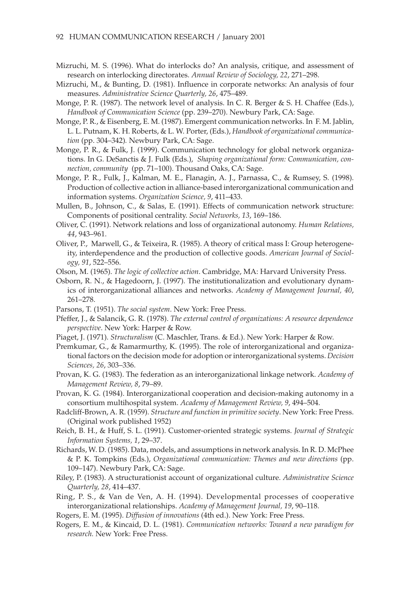- Mizruchi, M. S. (1996). What do interlocks do? An analysis, critique, and assessment of research on interlocking directorates. *Annual Review of Sociology, 22*, 271–298.
- Mizruchi, M., & Bunting, D. (1981). Influence in corporate networks: An analysis of four measures. *Administrative Science Quarterly, 26*, 475–489.
- Monge, P. R. (1987). The network level of analysis. In C. R. Berger & S. H. Chaffee (Eds.), *Handbook of Communication Science* (pp. 239–270). Newbury Park, CA: Sage.
- Monge, P. R., & Eisenberg, E. M. (1987). Emergent communication networks. In F. M. Jablin, L. L. Putnam, K. H. Roberts, & L. W. Porter, (Eds.), *Handbook of organizational communication* (pp. 304–342)*.* Newbury Park, CA: Sage.
- Monge, P. R., & Fulk, J. (1999). Communication technology for global network organizations. In G. DeSanctis & J. Fulk (Eds.), *Shaping organizational form: Communication, connection, community* (pp. 71–100). Thousand Oaks, CA: Sage.
- Monge, P. R., Fulk, J., Kalman, M. E., Flanagin, A. J., Parnassa, C., & Rumsey, S. (1998). Production of collective action in alliance-based interorganizational communication and information systems. *Organization Science, 9*, 411–433.
- Mullen, B., Johnson, C., & Salas, E. (1991). Effects of communication network structure: Components of positional centrality. *Social Networks, 13*, 169–186.
- Oliver, C. (1991). Network relations and loss of organizational autonomy. *Human Relations, 44*, 943–961.
- Oliver, P., Marwell, G., & Teixeira, R. (1985). A theory of critical mass I: Group heterogeneity, interdependence and the production of collective goods. *American Journal of Sociology, 91*, 522–556.
- Olson, M. (1965). *The logic of collective action*. Cambridge, MA: Harvard University Press.
- Osborn, R. N., & Hagedoorn, J. (1997). The institutionalization and evolutionary dynamics of interorganizational alliances and networks. *Academy of Management Journal, 40*, 261–278.
- Parsons, T. (1951). *The social system*. New York: Free Press.
- Pfeffer, J., & Salancik, G. R. (1978). *The external control of organizations: A resource dependence perspective*. New York: Harper & Row.
- Piaget, J. (1971). *Structuralism* (C. Maschler, Trans. & Ed.). New York: Harper & Row.
- Premkumar, G., & Ramarmurthy, K. (1995). The role of interorganizational and organizational factors on the decision mode for adoption or interorganizational systems. *Decision Sciences, 26*, 303–336.
- Provan, K. G. (1983). The federation as an interorganizational linkage network. *Academy of Management Review, 8*, 79–89.
- Provan, K. G. (1984). Interorganizational cooperation and decision-making autonomy in a consortium multihospital system. *Academy of Management Review, 9*, 494–504.
- Radcliff-Brown, A. R. (1959). *Structure and function in primitive society*. New York: Free Press. (Original work published 1952)
- Reich, B. H., & Huff, S. L. (1991). Customer-oriented strategic systems. *Journal of Strategic Information Systems, 1*, 29–37.
- Richards, W. D. (1985). Data, models, and assumptions in network analysis. In R. D. McPhee & P. K. Tompkins (Eds.), *Organizational communication: Themes and new directions* (pp. 109–147). Newbury Park, CA: Sage.
- Riley, P. (1983). A structurationist account of organizational culture. *Administrative Science Quarterly, 28*, 414–437.
- Ring, P. S., & Van de Ven, A. H. (1994). Developmental processes of cooperative interorganizational relationships. *Academy of Management Journal, 19*, 90–118.
- Rogers, E. M. (1995). *Diffusion of innovations* (4th ed.). New York: Free Press.
- Rogers, E. M., & Kincaid, D. L. (1981). *Communication networks: Toward a new paradigm for research.* New York: Free Press.